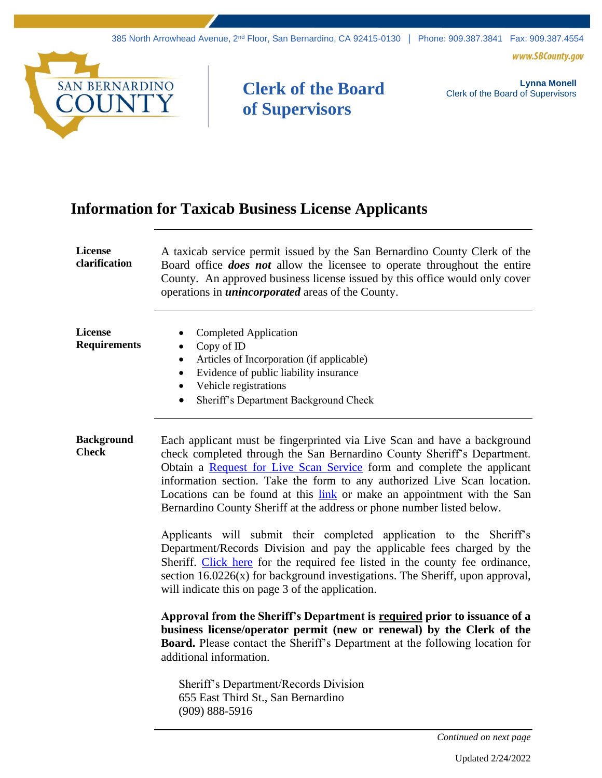www.SBCounty.gov



## **Clerk of the Board of Supervisors**

**Lynna Monell** Clerk of the Board of Supervisors

## **Information for Taxicab Business License Applicants**

| License<br>clarification          | A taxicab service permit issued by the San Bernardino County Clerk of the<br>Board office <i>does not</i> allow the licensee to operate throughout the entire<br>County. An approved business license issued by this office would only cover<br>operations in <i>unincorporated</i> areas of the County.                                                                                                                                                                                                                                                                                                                                                                                        |
|-----------------------------------|-------------------------------------------------------------------------------------------------------------------------------------------------------------------------------------------------------------------------------------------------------------------------------------------------------------------------------------------------------------------------------------------------------------------------------------------------------------------------------------------------------------------------------------------------------------------------------------------------------------------------------------------------------------------------------------------------|
| License<br><b>Requirements</b>    | <b>Completed Application</b><br>Copy of ID<br>$\bullet$<br>Articles of Incorporation (if applicable)<br>$\bullet$<br>Evidence of public liability insurance<br>$\bullet$<br>Vehicle registrations<br>$\bullet$<br>Sheriff's Department Background Check<br>$\bullet$                                                                                                                                                                                                                                                                                                                                                                                                                            |
| <b>Background</b><br><b>Check</b> | Each applicant must be fingerprinted via Live Scan and have a background<br>check completed through the San Bernardino County Sheriff's Department.<br>Obtain a Request for Live Scan Service form and complete the applicant<br>information section. Take the form to any authorized Live Scan location.<br>Locations can be found at this link or make an appointment with the San<br>Bernardino County Sheriff at the address or phone number listed below.<br>Applicants will submit their completed application to the Sheriff's<br>Department/Records Division and pay the applicable fees charged by the<br>Sheriff. Click here for the required fee listed in the county fee ordinance, |
|                                   | section $16.0226(x)$ for background investigations. The Sheriff, upon approval,<br>will indicate this on page 3 of the application.                                                                                                                                                                                                                                                                                                                                                                                                                                                                                                                                                             |
|                                   | Approval from the Sheriff's Department is required prior to issuance of a<br>business license/operator permit (new or renewal) by the Clerk of the<br><b>Board.</b> Please contact the Sheriff's Department at the following location for<br>additional information.                                                                                                                                                                                                                                                                                                                                                                                                                            |
|                                   | Sheriff's Department/Records Division<br>655 East Third St., San Bernardino<br>$(909) 888 - 5916$                                                                                                                                                                                                                                                                                                                                                                                                                                                                                                                                                                                               |